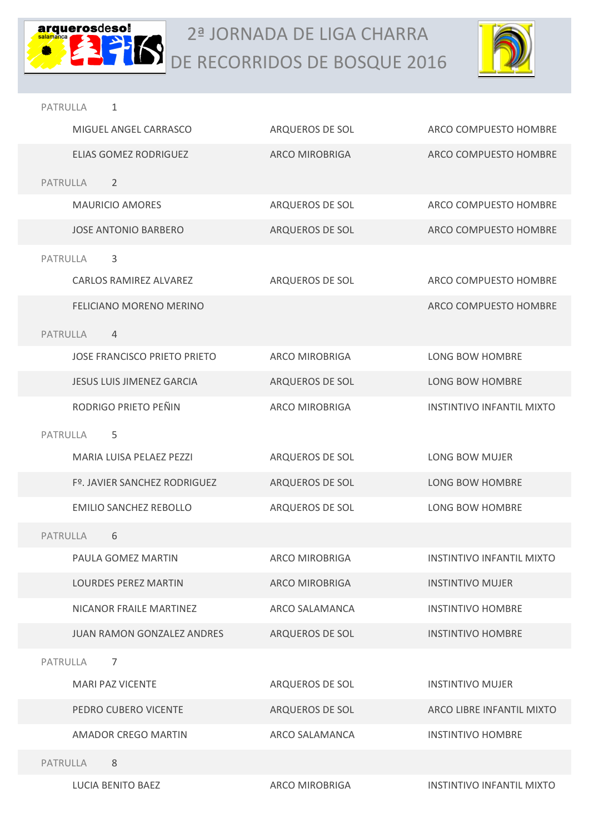



| PATRULLA<br>1                       |                       |                                  |
|-------------------------------------|-----------------------|----------------------------------|
| MIGUEL ANGEL CARRASCO               | ARQUEROS DE SOL       | ARCO COMPUESTO HOMBRE            |
| ELIAS GOMEZ RODRIGUEZ               | <b>ARCO MIROBRIGA</b> | ARCO COMPUESTO HOMBRE            |
| PATRULLA<br>2                       |                       |                                  |
| <b>MAURICIO AMORES</b>              | ARQUEROS DE SOL       | ARCO COMPUESTO HOMBRE            |
| <b>JOSE ANTONIO BARBERO</b>         | ARQUEROS DE SOL       | ARCO COMPUESTO HOMBRE            |
| 3<br>PATRULLA                       |                       |                                  |
| <b>CARLOS RAMIREZ ALVAREZ</b>       | ARQUEROS DE SOL       | ARCO COMPUESTO HOMBRE            |
| <b>FELICIANO MORENO MERINO</b>      |                       | ARCO COMPUESTO HOMBRE            |
| PATRULLA<br>4                       |                       |                                  |
| <b>JOSE FRANCISCO PRIETO PRIETO</b> | <b>ARCO MIROBRIGA</b> | LONG BOW HOMBRE                  |
| <b>JESUS LUIS JIMENEZ GARCIA</b>    | ARQUEROS DE SOL       | <b>LONG BOW HOMBRE</b>           |
| RODRIGO PRIETO PEÑIN                | <b>ARCO MIROBRIGA</b> | <b>INSTINTIVO INFANTIL MIXTO</b> |
| PATRULLA<br>5                       |                       |                                  |
| MARIA LUISA PELAEZ PEZZI            | ARQUEROS DE SOL       | LONG BOW MUJER                   |
| Fº. JAVIER SANCHEZ RODRIGUEZ        | ARQUEROS DE SOL       | LONG BOW HOMBRE                  |
| <b>EMILIO SANCHEZ REBOLLO</b>       | ARQUEROS DE SOL       | LONG BOW HOMBRE                  |
| <b>PATRULLA</b><br>6                |                       |                                  |
| PAULA GOMEZ MARTIN                  | <b>ARCO MIROBRIGA</b> | <b>INSTINTIVO INFANTIL MIXTO</b> |
| <b>LOURDES PEREZ MARTIN</b>         | ARCO MIROBRIGA        | <b>INSTINTIVO MUJER</b>          |
| NICANOR FRAILE MARTINEZ             | ARCO SALAMANCA        | <b>INSTINTIVO HOMBRE</b>         |
| JUAN RAMON GONZALEZ ANDRES          | ARQUEROS DE SOL       | <b>INSTINTIVO HOMBRE</b>         |
| PATRULLA<br>7                       |                       |                                  |
| <b>MARI PAZ VICENTE</b>             | ARQUEROS DE SOL       | <b>INSTINTIVO MUJER</b>          |
| PEDRO CUBERO VICENTE                | ARQUEROS DE SOL       | ARCO LIBRE INFANTIL MIXTO        |
| AMADOR CREGO MARTIN                 | ARCO SALAMANCA        | <b>INSTINTIVO HOMBRE</b>         |
| PATRULLA<br>8                       |                       |                                  |
| <b>LUCIA BENITO BAEZ</b>            | ARCO MIROBRIGA        | <b>INSTINTIVO INFANTIL MIXTO</b> |